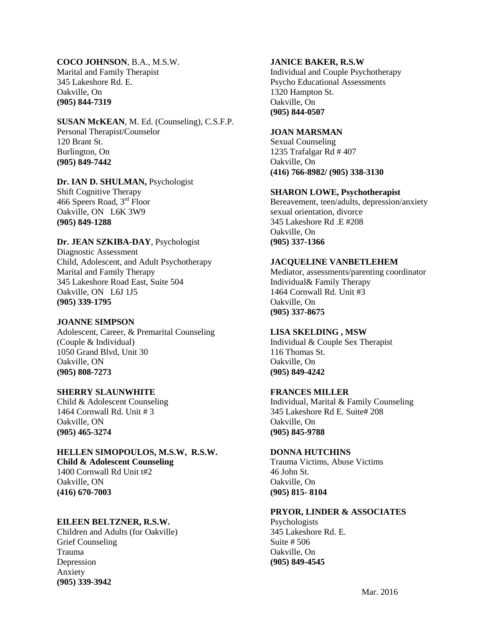#### **COCO JOHNSON**, B.A., M.S.W.

Marital and Family Therapist 345 Lakeshore Rd. E. Oakville, On **(905) 844-7319**

#### **SUSAN McKEAN**, M. Ed. (Counseling), C.S.F.P. Personal Therapist/Counselor 120 Brant St. Burlington, On

**(905) 849-7442**

# **Dr. IAN D. SHULMAN,** Psychologist

Shift Cognitive Therapy 466 Speers Road, 3rd Floor Oakville, ON L6K 3W9 **(905) 849-1288**

## **Dr. JEAN SZKIBA-DAY**, Psychologist

Diagnostic Assessment Child, Adolescent, and Adult Psychotherapy Marital and Family Therapy 345 Lakeshore Road East, Suite 504 Oakville, ON L6J 1J5 **(905) 339-1795**

## **JOANNE SIMPSON**

Adolescent, Career, & Premarital Counseling (Couple & Individual) 1050 Grand Blvd, Unit 30 Oakville, ON **(905) 808-7273**

## **SHERRY SLAUNWHITE**

Child & Adolescent Counseling 1464 Cornwall Rd. Unit # 3 Oakville, ON **(905) 465-3274**

# **HELLEN SIMOPOULOS, M.S.W, R.S.W.**

**Child & Adolescent Counseling** 1400 Cornwall Rd Unit t#2 Oakville, ON **(416) 670-7003**

## **EILEEN BELTZNER, R.S.W.**

Children and Adults (for Oakville) Grief Counseling Trauma Depression Anxiety **(905) 339-3942**

#### **JANICE BAKER, R.S.W**

Individual and Couple Psychotherapy Psycho Educational Assessments 1320 Hampton St. Oakville, On **(905) 844-0507**

#### **JOAN MARSMAN**

Sexual Counseling 1235 Trafalgar Rd # 407 Oakville, On **(416) 766-8982/ (905) 338-3130**

### **SHARON LOWE, Psychotherapist**

Bereavement, teen/adults, depression/anxiety sexual orientation, divorce 345 Lakeshore Rd .E #208 Oakville, On **(905) 337-1366**

### **JACQUELINE VANBETLEHEM**

Mediator, assessments/parenting coordinator Individual& Family Therapy 1464 Cornwall Rd. Unit #3 Oakville, On **(905) 337-8675**

#### **LISA SKELDING , MSW**

Individual & Couple Sex Therapist 116 Thomas St. Oakville, On **(905) 849-4242** 

## **FRANCES MILLER**

Individual, Marital & Family Counseling 345 Lakeshore Rd E. Suite# 208 Oakville, On **(905) 845-9788**

#### **DONNA HUTCHINS**

Trauma Victims, Abuse Victims 46 John St. Oakville, On **(905) 815- 8104**

#### **PRYOR, LINDER & ASSOCIATES**

Psychologists 345 Lakeshore Rd. E. Suite # 506 Oakville, On **(905) 849-4545**